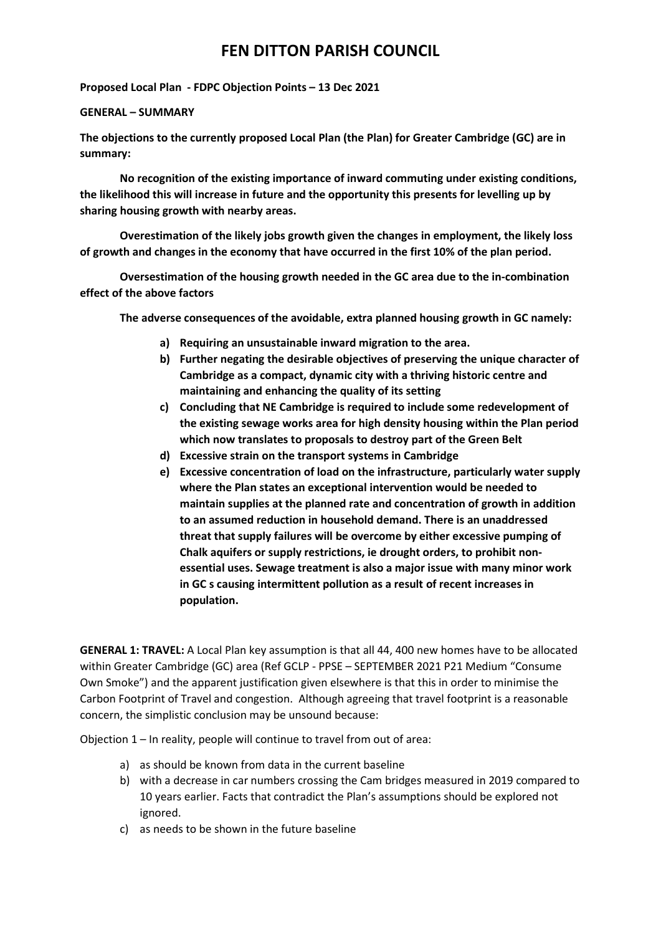Proposed Local Plan - FDPC Objection Points – 13 Dec 2021

#### GENERAL – SUMMARY

The objections to the currently proposed Local Plan (the Plan) for Greater Cambridge (GC) are in summary:

 No recognition of the existing importance of inward commuting under existing conditions, the likelihood this will increase in future and the opportunity this presents for levelling up by sharing housing growth with nearby areas.

 Overestimation of the likely jobs growth given the changes in employment, the likely loss of growth and changes in the economy that have occurred in the first 10% of the plan period.

 Oversestimation of the housing growth needed in the GC area due to the in-combination effect of the above factors

The adverse consequences of the avoidable, extra planned housing growth in GC namely:

- a) Requiring an unsustainable inward migration to the area.
- b) Further negating the desirable objectives of preserving the unique character of Cambridge as a compact, dynamic city with a thriving historic centre and maintaining and enhancing the quality of its setting
- c) Concluding that NE Cambridge is required to include some redevelopment of the existing sewage works area for high density housing within the Plan period which now translates to proposals to destroy part of the Green Belt
- d) Excessive strain on the transport systems in Cambridge
- e) Excessive concentration of load on the infrastructure, particularly water supply where the Plan states an exceptional intervention would be needed to maintain supplies at the planned rate and concentration of growth in addition to an assumed reduction in household demand. There is an unaddressed threat that supply failures will be overcome by either excessive pumping of Chalk aquifers or supply restrictions, ie drought orders, to prohibit nonessential uses. Sewage treatment is also a major issue with many minor work in GC s causing intermittent pollution as a result of recent increases in population.

GENERAL 1: TRAVEL: A Local Plan key assumption is that all 44, 400 new homes have to be allocated within Greater Cambridge (GC) area (Ref GCLP - PPSE – SEPTEMBER 2021 P21 Medium "Consume Own Smoke") and the apparent justification given elsewhere is that this in order to minimise the Carbon Footprint of Travel and congestion. Although agreeing that travel footprint is a reasonable concern, the simplistic conclusion may be unsound because:

Objection 1 – In reality, people will continue to travel from out of area:

- a) as should be known from data in the current baseline
- b) with a decrease in car numbers crossing the Cam bridges measured in 2019 compared to 10 years earlier. Facts that contradict the Plan's assumptions should be explored not ignored.
- c) as needs to be shown in the future baseline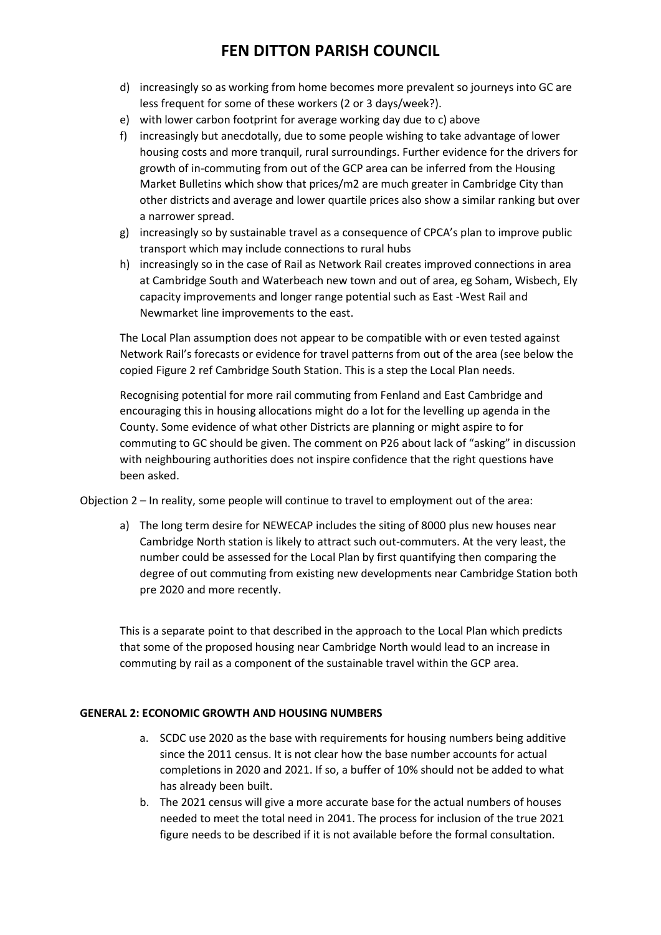- d) increasingly so as working from home becomes more prevalent so journeys into GC are less frequent for some of these workers (2 or 3 days/week?).
- e) with lower carbon footprint for average working day due to c) above
- f) increasingly but anecdotally, due to some people wishing to take advantage of lower housing costs and more tranquil, rural surroundings. Further evidence for the drivers for growth of in-commuting from out of the GCP area can be inferred from the Housing Market Bulletins which show that prices/m2 are much greater in Cambridge City than other districts and average and lower quartile prices also show a similar ranking but over a narrower spread.
- g) increasingly so by sustainable travel as a consequence of CPCA's plan to improve public transport which may include connections to rural hubs
- h) increasingly so in the case of Rail as Network Rail creates improved connections in area at Cambridge South and Waterbeach new town and out of area, eg Soham, Wisbech, Ely capacity improvements and longer range potential such as East -West Rail and Newmarket line improvements to the east.

The Local Plan assumption does not appear to be compatible with or even tested against Network Rail's forecasts or evidence for travel patterns from out of the area (see below the copied Figure 2 ref Cambridge South Station. This is a step the Local Plan needs.

Recognising potential for more rail commuting from Fenland and East Cambridge and encouraging this in housing allocations might do a lot for the levelling up agenda in the County. Some evidence of what other Districts are planning or might aspire to for commuting to GC should be given. The comment on P26 about lack of "asking" in discussion with neighbouring authorities does not inspire confidence that the right questions have been asked.

Objection 2 – In reality, some people will continue to travel to employment out of the area:

a) The long term desire for NEWECAP includes the siting of 8000 plus new houses near Cambridge North station is likely to attract such out-commuters. At the very least, the number could be assessed for the Local Plan by first quantifying then comparing the degree of out commuting from existing new developments near Cambridge Station both pre 2020 and more recently.

This is a separate point to that described in the approach to the Local Plan which predicts that some of the proposed housing near Cambridge North would lead to an increase in commuting by rail as a component of the sustainable travel within the GCP area.

#### GENERAL 2: ECONOMIC GROWTH AND HOUSING NUMBERS

- a. SCDC use 2020 as the base with requirements for housing numbers being additive since the 2011 census. It is not clear how the base number accounts for actual completions in 2020 and 2021. If so, a buffer of 10% should not be added to what has already been built.
- b. The 2021 census will give a more accurate base for the actual numbers of houses needed to meet the total need in 2041. The process for inclusion of the true 2021 figure needs to be described if it is not available before the formal consultation.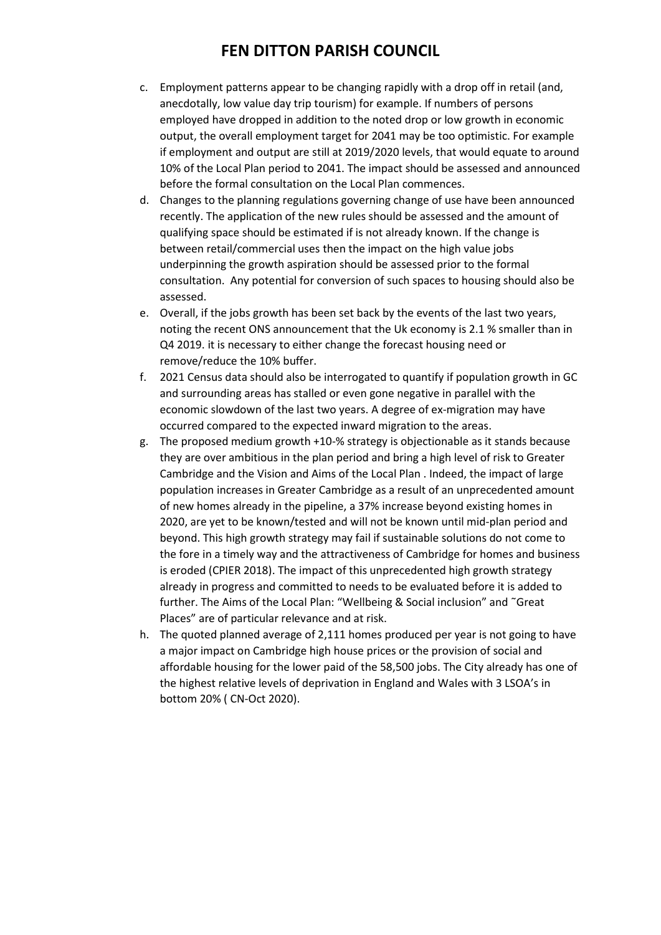- c. Employment patterns appear to be changing rapidly with a drop off in retail (and, anecdotally, low value day trip tourism) for example. If numbers of persons employed have dropped in addition to the noted drop or low growth in economic output, the overall employment target for 2041 may be too optimistic. For example if employment and output are still at 2019/2020 levels, that would equate to around 10% of the Local Plan period to 2041. The impact should be assessed and announced before the formal consultation on the Local Plan commences.
- d. Changes to the planning regulations governing change of use have been announced recently. The application of the new rules should be assessed and the amount of qualifying space should be estimated if is not already known. If the change is between retail/commercial uses then the impact on the high value jobs underpinning the growth aspiration should be assessed prior to the formal consultation. Any potential for conversion of such spaces to housing should also be assessed.
- e. Overall, if the jobs growth has been set back by the events of the last two years, noting the recent ONS announcement that the Uk economy is 2.1 % smaller than in Q4 2019. it is necessary to either change the forecast housing need or remove/reduce the 10% buffer.
- f. 2021 Census data should also be interrogated to quantify if population growth in GC and surrounding areas has stalled or even gone negative in parallel with the economic slowdown of the last two years. A degree of ex-migration may have occurred compared to the expected inward migration to the areas.
- g. The proposed medium growth +10-% strategy is objectionable as it stands because they are over ambitious in the plan period and bring a high level of risk to Greater Cambridge and the Vision and Aims of the Local Plan . Indeed, the impact of large population increases in Greater Cambridge as a result of an unprecedented amount of new homes already in the pipeline, a 37% increase beyond existing homes in 2020, are yet to be known/tested and will not be known until mid-plan period and beyond. This high growth strategy may fail if sustainable solutions do not come to the fore in a timely way and the attractiveness of Cambridge for homes and business is eroded (CPIER 2018). The impact of this unprecedented high growth strategy already in progress and committed to needs to be evaluated before it is added to further. The Aims of the Local Plan: "Wellbeing & Social inclusion" and ˜Great Places" are of particular relevance and at risk.
- h. The quoted planned average of 2,111 homes produced per year is not going to have a major impact on Cambridge high house prices or the provision of social and affordable housing for the lower paid of the 58,500 jobs. The City already has one of the highest relative levels of deprivation in England and Wales with 3 LSOA's in bottom 20% ( CN-Oct 2020).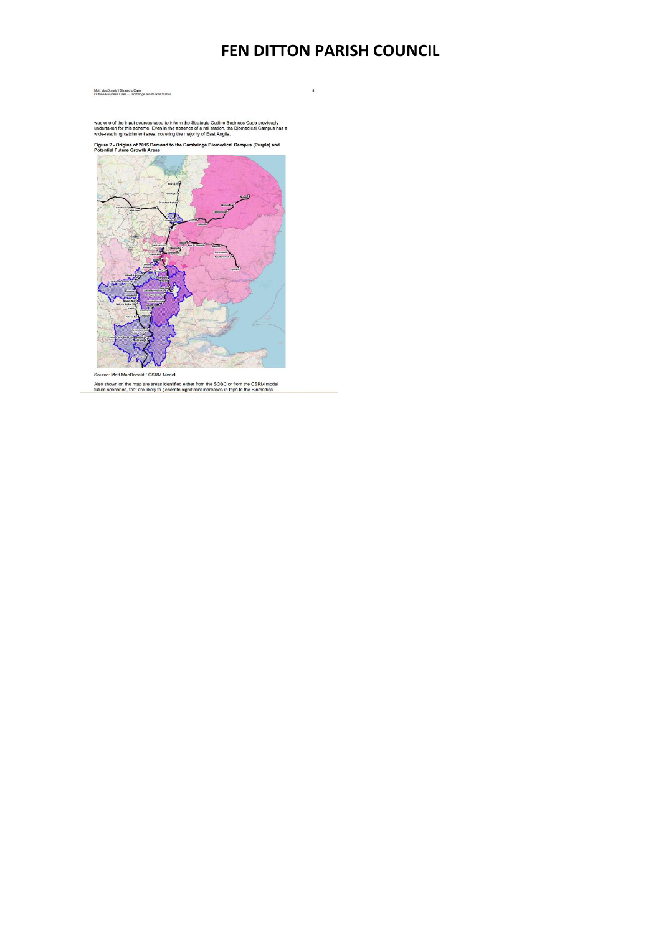$\overline{4}$ 

Mott MacDonald | Strategic Case<br>Outline Business Case - Cambridge South Rail Station

was one of the input sources used to inform the Strategic Outline Business Case previously<br>undertaken for this scheme. Even in the absence of a rail station, the Biomedical Campus has a<br>wide-reaching catchment area, coveri

Figure 2 - Origins of 2015 Demand to the Cambridge Biomedical Campus (Purple) and<br>Potential Future Growth Areas



Source: Mott MacDonald / CSRM Model

Also shown on the map are areas identified either from the SOBC or from the CSRM model<br>future scenarios, that are likely to generate significant increases in trips to the Biomedical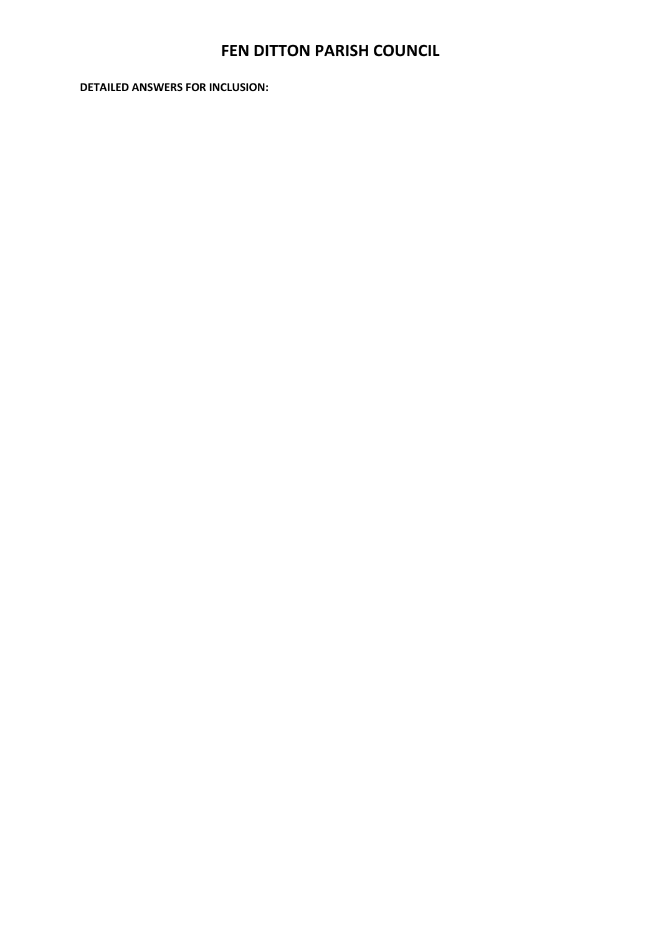DETAILED ANSWERS FOR INCLUSION: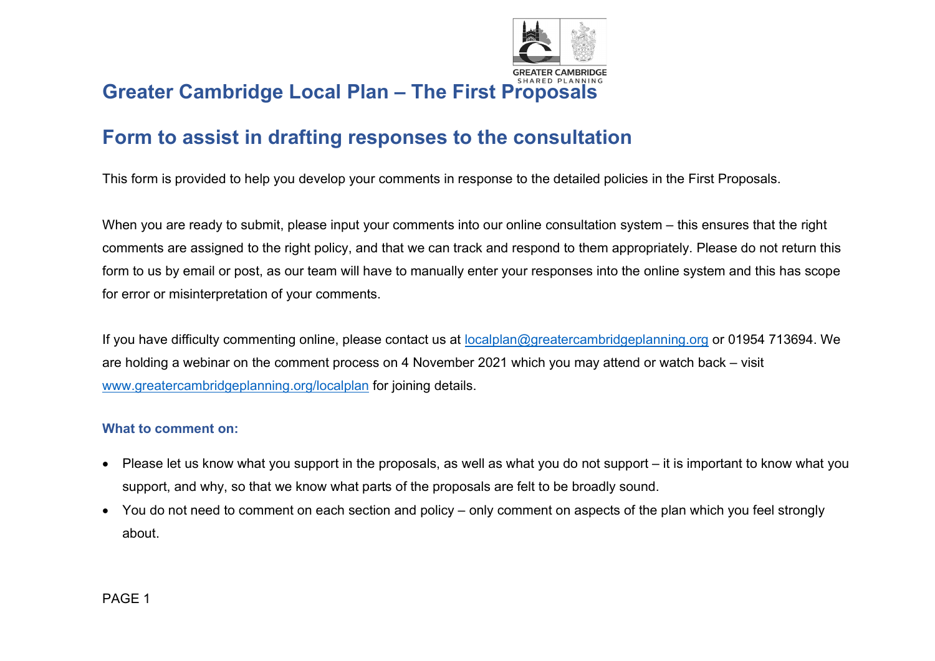

# Greater Cambridge Local Plan – The First Proposals

# Form to assist in drafting responses to the consultation

This form is provided to help you develop your comments in response to the detailed policies in the First Proposals.

When you are ready to submit, please input your comments into our online consultation system – this ensures that the right comments are assigned to the right policy, and that we can track and respond to them appropriately. Please do not return this form to us by email or post, as our team will have to manually enter your responses into the online system and this has scope for error or misinterpretation of your comments.

If you have difficulty commenting online, please contact us at localplan@greatercambridgeplanning.org or 01954 713694. We are holding a webinar on the comment process on 4 November 2021 which you may attend or watch back – visit www.greatercambridgeplanning.org/localplan for joining details.

#### What to comment on:

- Please let us know what you support in the proposals, as well as what you do not support it is important to know what you support, and why, so that we know what parts of the proposals are felt to be broadly sound.
- You do not need to comment on each section and policy only comment on aspects of the plan which you feel strongly about.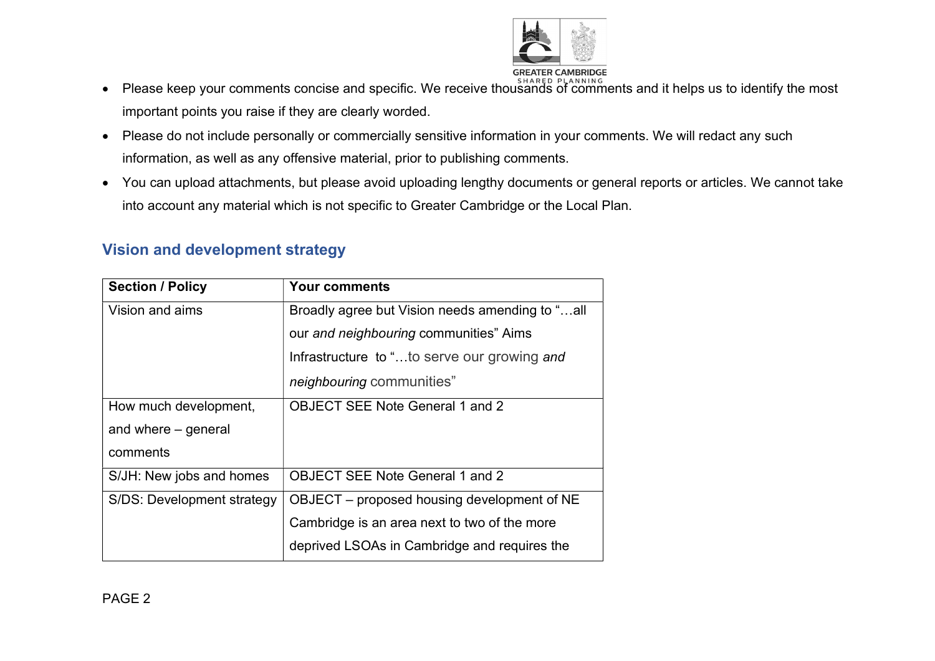

- Please keep your comments concise and specific. We receive thousands of comments and it helps us to identify the most important points you raise if they are clearly worded.
- Please do not include personally or commercially sensitive information in your comments. We will redact any such information, as well as any offensive material, prior to publishing comments.
- You can upload attachments, but please avoid uploading lengthy documents or general reports or articles. We cannot take into account any material which is not specific to Greater Cambridge or the Local Plan.

| <b>Section / Policy</b>    | <b>Your comments</b>                            |
|----------------------------|-------------------------------------------------|
| Vision and aims            | Broadly agree but Vision needs amending to "all |
|                            | our and neighbouring communities" Aims          |
|                            | Infrastructure to "to serve our growing and     |
|                            | <i>neighbouring</i> communities"                |
| How much development,      | <b>OBJECT SEE Note General 1 and 2</b>          |
| and where – general        |                                                 |
| comments                   |                                                 |
| S/JH: New jobs and homes   | <b>OBJECT SEE Note General 1 and 2</b>          |
| S/DS: Development strategy | OBJECT – proposed housing development of NE     |
|                            | Cambridge is an area next to two of the more    |
|                            | deprived LSOAs in Cambridge and requires the    |

## Vision and development strategy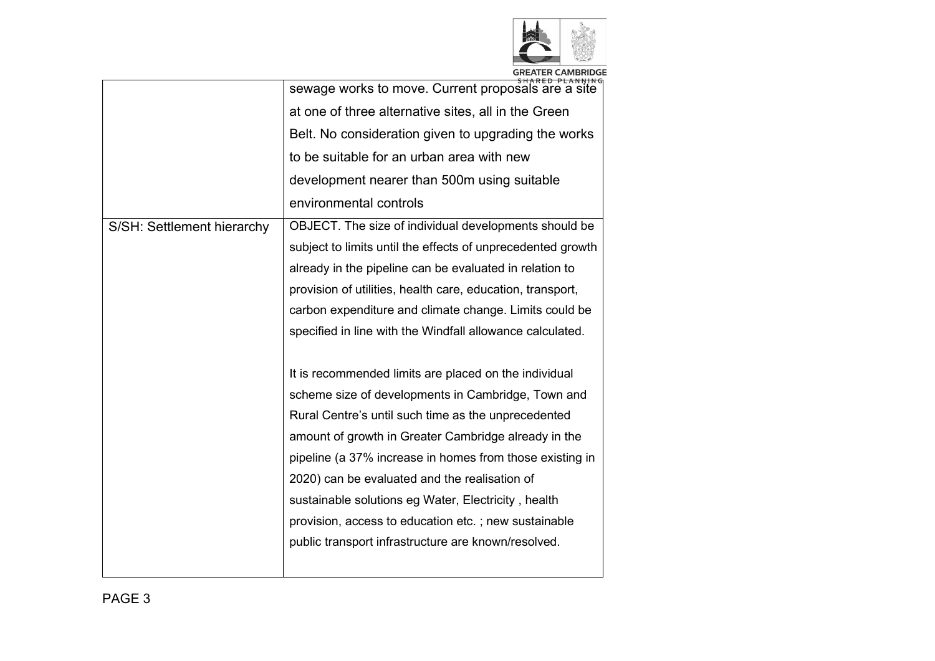

|                            | sewage works to move. Current proposals are a site          |
|----------------------------|-------------------------------------------------------------|
|                            | at one of three alternative sites, all in the Green         |
|                            | Belt. No consideration given to upgrading the works         |
|                            | to be suitable for an urban area with new                   |
|                            | development nearer than 500m using suitable                 |
|                            | environmental controls                                      |
| S/SH: Settlement hierarchy | OBJECT. The size of individual developments should be       |
|                            | subject to limits until the effects of unprecedented growth |
|                            | already in the pipeline can be evaluated in relation to     |
|                            | provision of utilities, health care, education, transport,  |
|                            | carbon expenditure and climate change. Limits could be      |
|                            | specified in line with the Windfall allowance calculated.   |
|                            |                                                             |
|                            | It is recommended limits are placed on the individual       |
|                            | scheme size of developments in Cambridge, Town and          |
|                            | Rural Centre's until such time as the unprecedented         |
|                            | amount of growth in Greater Cambridge already in the        |
|                            | pipeline (a 37% increase in homes from those existing in    |
|                            | 2020) can be evaluated and the realisation of               |
|                            | sustainable solutions eg Water, Electricity, health         |
|                            | provision, access to education etc.; new sustainable        |
|                            | public transport infrastructure are known/resolved.         |
|                            |                                                             |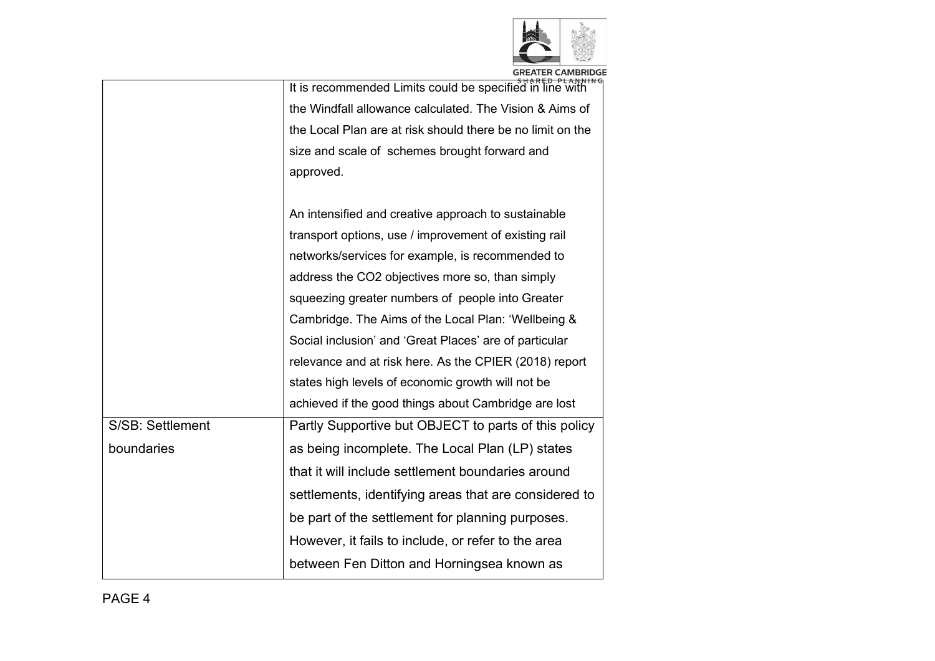

|                  | <b>GREATER CAMBRIDGE</b>                                   |
|------------------|------------------------------------------------------------|
|                  | It is recommended Limits could be specified in line with   |
|                  | the Windfall allowance calculated. The Vision & Aims of    |
|                  | the Local Plan are at risk should there be no limit on the |
|                  | size and scale of schemes brought forward and              |
|                  | approved.                                                  |
|                  |                                                            |
|                  | An intensified and creative approach to sustainable        |
|                  | transport options, use / improvement of existing rail      |
|                  | networks/services for example, is recommended to           |
|                  | address the CO2 objectives more so, than simply            |
|                  | squeezing greater numbers of people into Greater           |
|                  | Cambridge. The Aims of the Local Plan: 'Wellbeing &        |
|                  | Social inclusion' and 'Great Places' are of particular     |
|                  | relevance and at risk here. As the CPIER (2018) report     |
|                  | states high levels of economic growth will not be          |
|                  | achieved if the good things about Cambridge are lost       |
| S/SB: Settlement | Partly Supportive but OBJECT to parts of this policy       |
| boundaries       | as being incomplete. The Local Plan (LP) states            |
|                  | that it will include settlement boundaries around          |
|                  | settlements, identifying areas that are considered to      |
|                  | be part of the settlement for planning purposes.           |
|                  | However, it fails to include, or refer to the area         |
|                  | between Fen Ditton and Horningsea known as                 |
|                  |                                                            |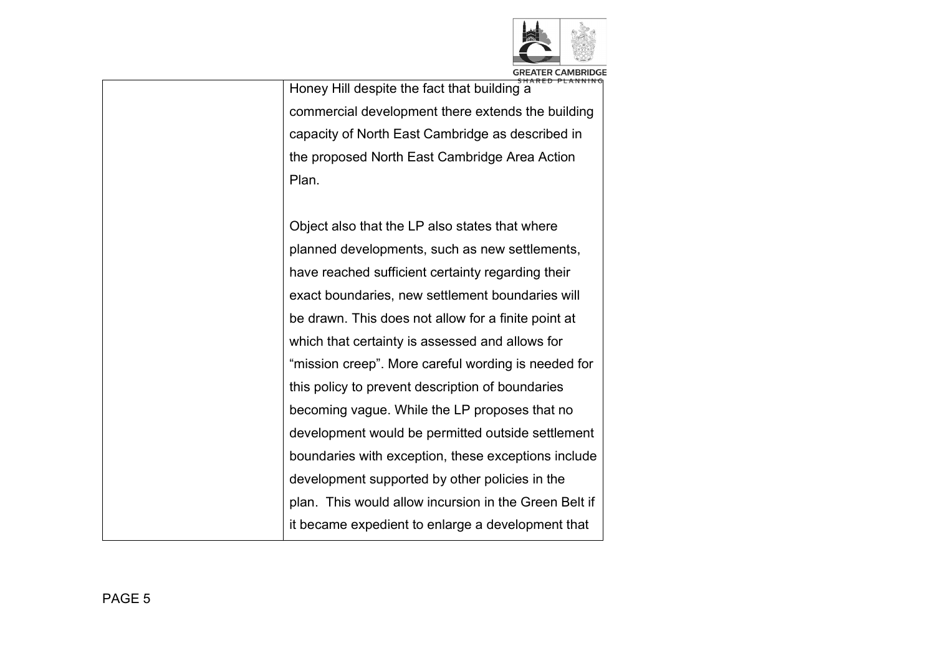

Honey Hill despite the fact that building a commercial development there extends the building capacity of North East Cambridge as described in the proposed North East Cambridge Area Action Plan.

Object also that the LP also states that where planned developments, such as new settlements, have reached sufficient certainty regarding their exact boundaries, new settlement boundaries will be drawn. This does not allow for a finite point at which that certainty is assessed and allows for "mission creep". More careful wording is needed for this policy to prevent description of boundaries becoming vague. While the LP proposes that no development would be permitted outside settlement boundaries with exception, these exceptions include development supported by other policies in the plan. This would allow incursion in the Green Belt if it became expedient to enlarge a development that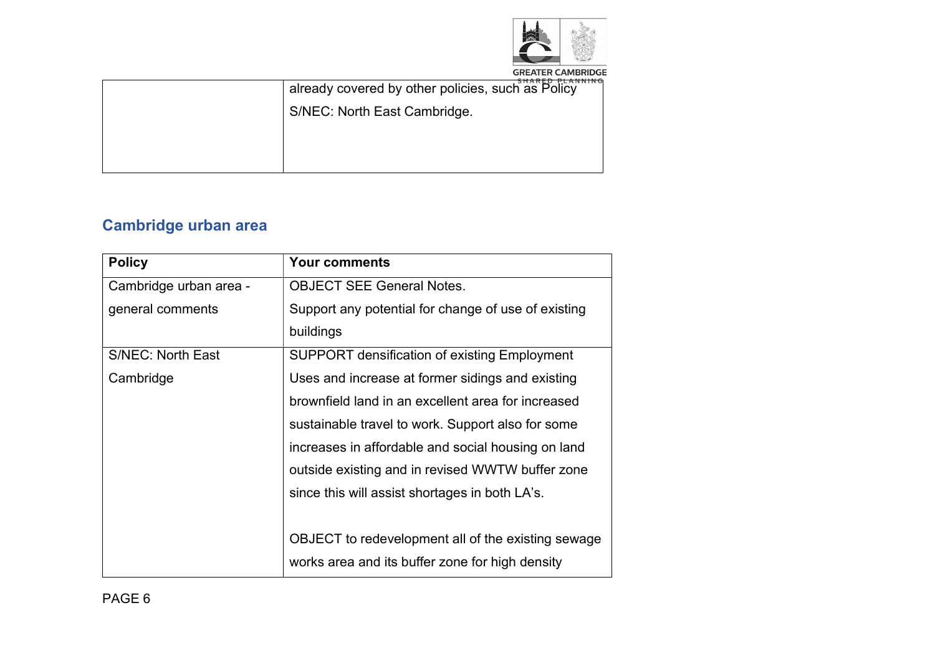

| CUADER BLANNIN<br>already covered by other policies, such as Policy |
|---------------------------------------------------------------------|
| S/NEC: North East Cambridge.                                        |
|                                                                     |
|                                                                     |
|                                                                     |

# Cambridge urban area

| <b>Policy</b>            | <b>Your comments</b>                                |
|--------------------------|-----------------------------------------------------|
| Cambridge urban area -   | <b>OBJECT SEE General Notes.</b>                    |
| general comments         | Support any potential for change of use of existing |
|                          | buildings                                           |
| <b>S/NEC: North East</b> | <b>SUPPORT densification of existing Employment</b> |
| Cambridge                | Uses and increase at former sidings and existing    |
|                          | brownfield land in an excellent area for increased  |
|                          | sustainable travel to work. Support also for some   |
|                          | increases in affordable and social housing on land  |
|                          | outside existing and in revised WWTW buffer zone    |
|                          | since this will assist shortages in both LA's.      |
|                          |                                                     |
|                          | OBJECT to redevelopment all of the existing sewage  |
|                          | works area and its buffer zone for high density     |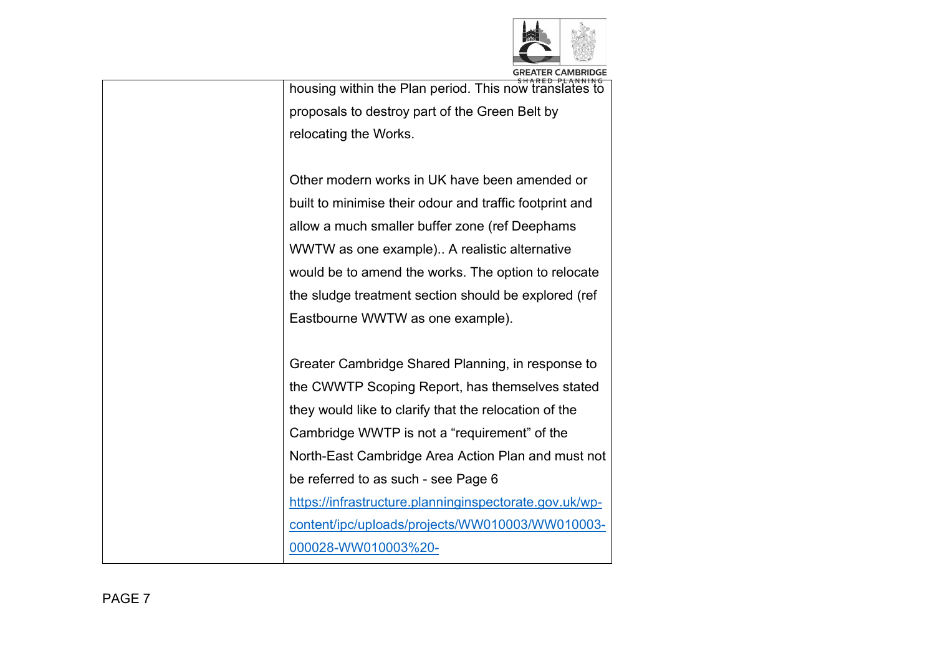

housing within the Plan period. This now translates to proposals to destroy part of the Green Belt by relocating the Works.

Other modern works in UK have been amended or built to minimise their odour and traffic footprint and allow a much smaller buffer zone (ref Deephams WWTW as one example).. A realistic alternative would be to amend the works. The option to relocate the sludge treatment section should be explored (ref Eastbourne WWTW as one example).

Greater Cambridge Shared Planning, in response to the CWWTP Scoping Report, has themselves stated they would like to clarify that the relocation of the Cambridge WWTP is not a "requirement" of the North-East Cambridge Area Action Plan and must not be referred to as such - see Page 6 https://infrastructure.planninginspectorate.gov.uk/wpcontent/ipc/uploads/projects/WW010003/WW010003- 000028-WW010003%20-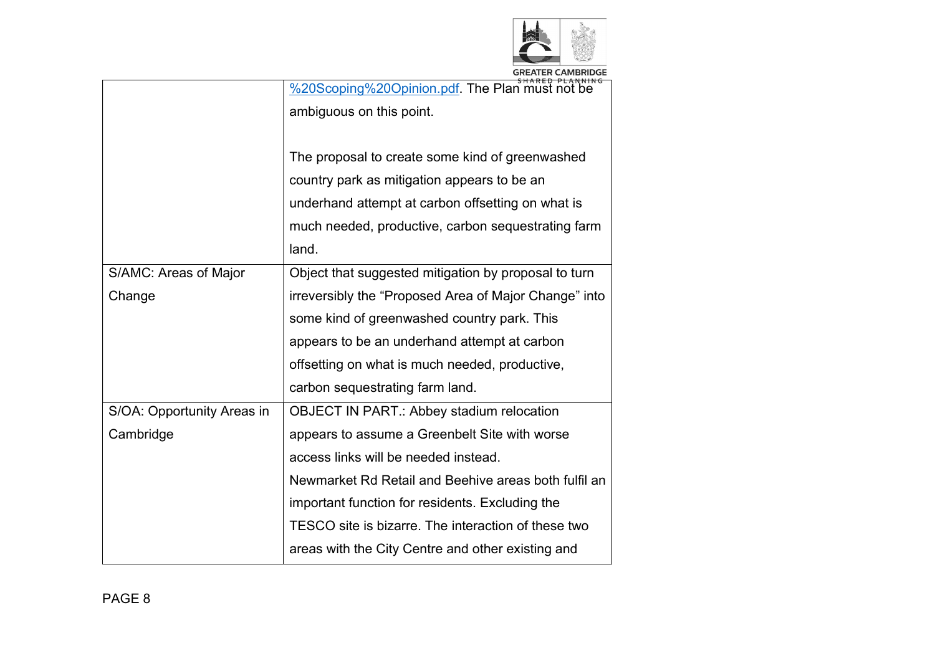

| <b>GREATER CAMBRIDGE</b> |  |  |
|--------------------------|--|--|
| CUADER BLANNING          |  |  |

|        |                            | %20Scoping%20Opinion.pdf. The Plan must not be        |
|--------|----------------------------|-------------------------------------------------------|
|        |                            | ambiguous on this point.                              |
|        |                            |                                                       |
|        |                            | The proposal to create some kind of greenwashed       |
|        |                            | country park as mitigation appears to be an           |
|        |                            | underhand attempt at carbon offsetting on what is     |
|        |                            | much needed, productive, carbon sequestrating farm    |
|        |                            | land.                                                 |
|        | S/AMC: Areas of Major      | Object that suggested mitigation by proposal to turn  |
| Change |                            | irreversibly the "Proposed Area of Major Change" into |
|        |                            | some kind of greenwashed country park. This           |
|        |                            | appears to be an underhand attempt at carbon          |
|        |                            | offsetting on what is much needed, productive,        |
|        |                            | carbon sequestrating farm land.                       |
|        | S/OA: Opportunity Areas in | <b>OBJECT IN PART.: Abbey stadium relocation</b>      |
|        | Cambridge                  | appears to assume a Greenbelt Site with worse         |
|        |                            | access links will be needed instead.                  |
|        |                            | Newmarket Rd Retail and Beehive areas both fulfil an  |
|        |                            | important function for residents. Excluding the       |
|        |                            | TESCO site is bizarre. The interaction of these two   |
|        |                            | areas with the City Centre and other existing and     |
|        |                            |                                                       |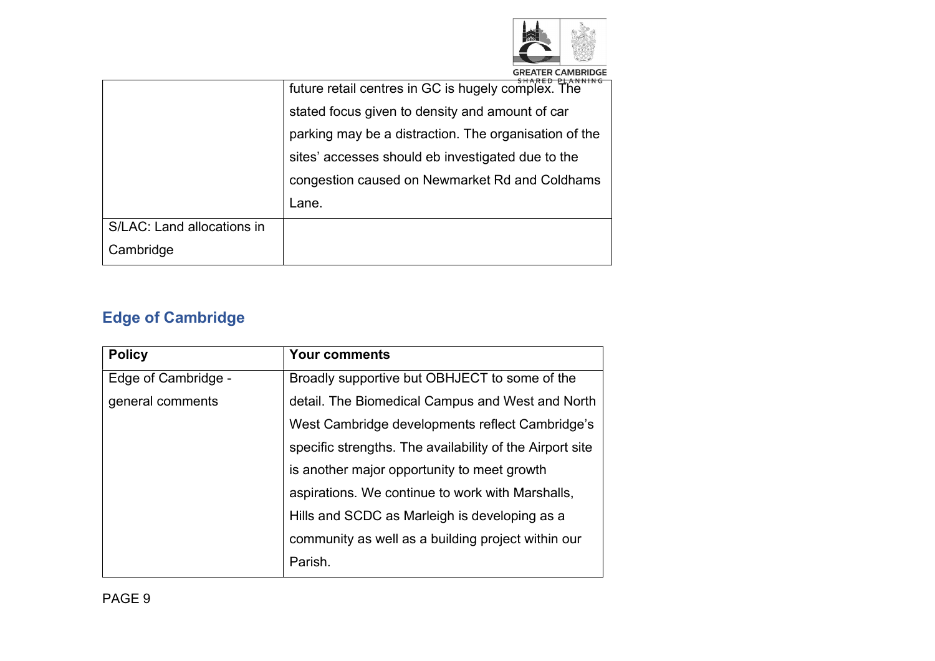

| <b>GREATER CAMBRIDGE</b> |  |  |  |  |                                                       |  |  |  |
|--------------------------|--|--|--|--|-------------------------------------------------------|--|--|--|
|                          |  |  |  |  | $CII$ $A$ $D$ $F$ $D$ $D$ $I$ $A$ $M$ $M$ $M$ $A$ $I$ |  |  |  |
|                          |  |  |  |  |                                                       |  |  |  |

|                            | future retail centres in GC is hugely complex. The    |
|----------------------------|-------------------------------------------------------|
|                            | stated focus given to density and amount of car       |
|                            | parking may be a distraction. The organisation of the |
|                            | sites' accesses should eb investigated due to the     |
|                            | congestion caused on Newmarket Rd and Coldhams        |
|                            | Lane.                                                 |
| S/LAC: Land allocations in |                                                       |
| Cambridge                  |                                                       |

# Edge of Cambridge

| <b>Policy</b>       | <b>Your comments</b>                                     |
|---------------------|----------------------------------------------------------|
| Edge of Cambridge - | Broadly supportive but OBHJECT to some of the            |
| general comments    | detail. The Biomedical Campus and West and North         |
|                     | West Cambridge developments reflect Cambridge's          |
|                     | specific strengths. The availability of the Airport site |
|                     | is another major opportunity to meet growth              |
|                     | aspirations. We continue to work with Marshalls,         |
|                     | Hills and SCDC as Marleigh is developing as a            |
|                     | community as well as a building project within our       |
|                     | Parish.                                                  |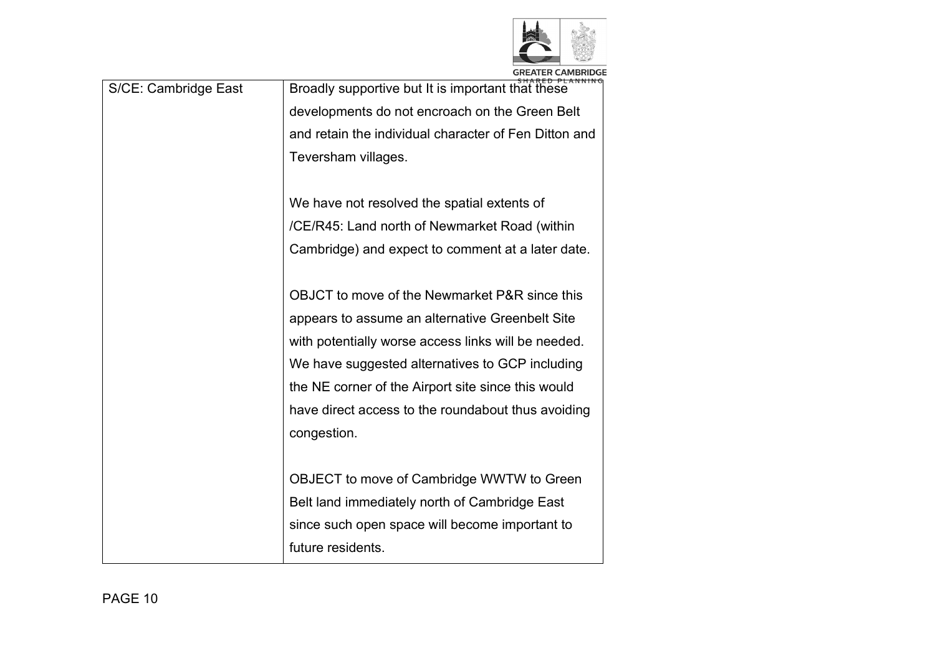

| S/CE: Cambridge East | Broadly supportive but It is important that these     |
|----------------------|-------------------------------------------------------|
|                      | developments do not encroach on the Green Belt        |
|                      | and retain the individual character of Fen Ditton and |
|                      | Teversham villages.                                   |
|                      |                                                       |
|                      | We have not resolved the spatial extents of           |
|                      | /CE/R45: Land north of Newmarket Road (within         |
|                      | Cambridge) and expect to comment at a later date.     |
|                      |                                                       |
|                      | OBJCT to move of the Newmarket P&R since this         |
|                      | appears to assume an alternative Greenbelt Site       |
|                      | with potentially worse access links will be needed.   |
|                      | We have suggested alternatives to GCP including       |
|                      | the NE corner of the Airport site since this would    |
|                      | have direct access to the roundabout thus avoiding    |
|                      | congestion.                                           |
|                      |                                                       |
|                      | OBJECT to move of Cambridge WWTW to Green             |
|                      | Belt land immediately north of Cambridge East         |
|                      | since such open space will become important to        |
|                      | future residents.                                     |
|                      |                                                       |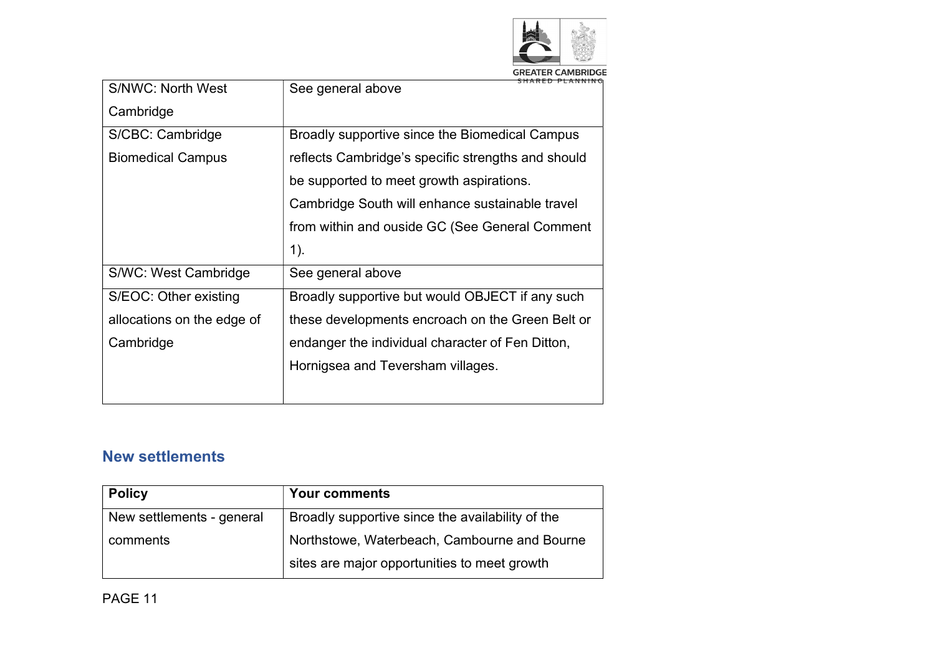

| <b>S/NWC: North West</b>   | See general above                                  |
|----------------------------|----------------------------------------------------|
| Cambridge                  |                                                    |
| S/CBC: Cambridge           | Broadly supportive since the Biomedical Campus     |
| <b>Biomedical Campus</b>   | reflects Cambridge's specific strengths and should |
|                            | be supported to meet growth aspirations.           |
|                            | Cambridge South will enhance sustainable travel    |
|                            | from within and ouside GC (See General Comment     |
|                            |                                                    |
|                            | $1$ ).                                             |
| S/WC: West Cambridge       | See general above                                  |
| S/EOC: Other existing      | Broadly supportive but would OBJECT if any such    |
| allocations on the edge of | these developments encroach on the Green Belt or   |
| Cambridge                  | endanger the individual character of Fen Ditton,   |
|                            | Hornigsea and Teversham villages.                  |

## New settlements

| <b>Policy</b>             | <b>Your comments</b>                             |
|---------------------------|--------------------------------------------------|
| New settlements - general | Broadly supportive since the availability of the |
| comments                  | Northstowe, Waterbeach, Cambourne and Bourne     |
|                           | sites are major opportunities to meet growth     |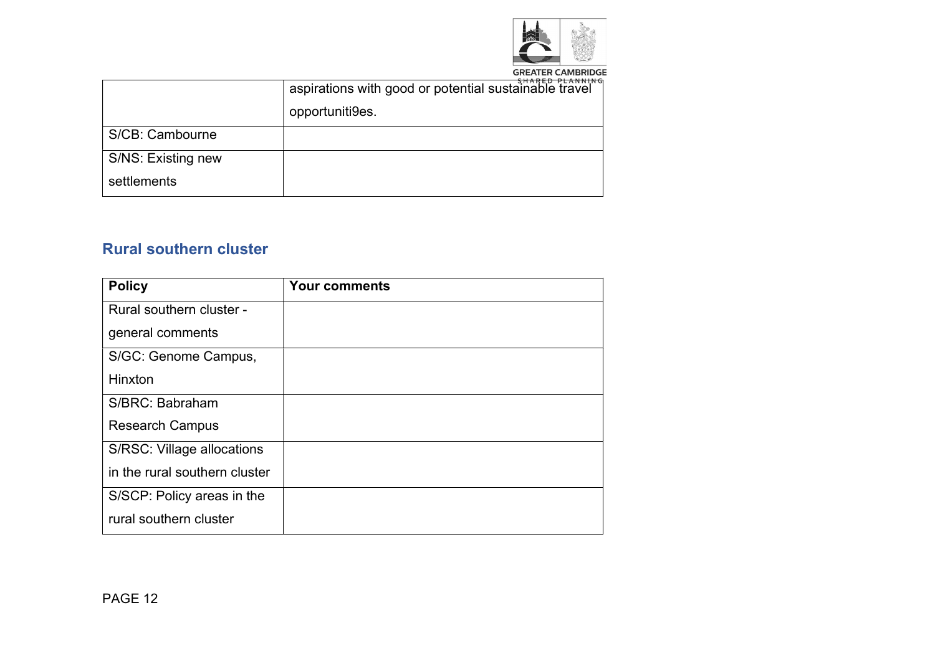

**GREATER CAMBRIDGE** 

|                    | CUADED DI AMMINIC<br>aspirations with good or potential sustainable travel<br>opportuniti9es. |
|--------------------|-----------------------------------------------------------------------------------------------|
| S/CB: Cambourne    |                                                                                               |
| S/NS: Existing new |                                                                                               |
| settlements        |                                                                                               |

#### Rural southern cluster

| <b>Policy</b>                 | <b>Your comments</b> |
|-------------------------------|----------------------|
| Rural southern cluster -      |                      |
| general comments              |                      |
| S/GC: Genome Campus,          |                      |
| Hinxton                       |                      |
| S/BRC: Babraham               |                      |
| <b>Research Campus</b>        |                      |
| S/RSC: Village allocations    |                      |
| in the rural southern cluster |                      |
| S/SCP: Policy areas in the    |                      |
| rural southern cluster        |                      |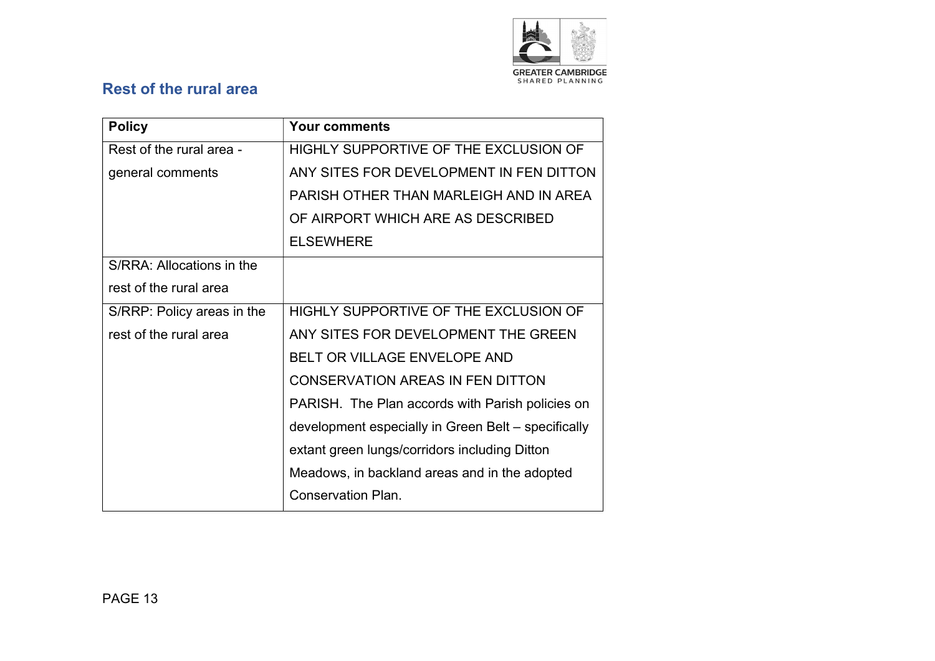

## Rest of the rural area

| <b>Policy</b>              | <b>Your comments</b>                                |
|----------------------------|-----------------------------------------------------|
| Rest of the rural area -   | HIGHLY SUPPORTIVE OF THE EXCLUSION OF               |
| general comments           | ANY SITES FOR DEVELOPMENT IN FEN DITTON             |
|                            | PARISH OTHER THAN MARLEIGH AND IN AREA              |
|                            | OF AIRPORT WHICH ARE AS DESCRIBED                   |
|                            | <b>ELSEWHERE</b>                                    |
| S/RRA: Allocations in the  |                                                     |
| rest of the rural area     |                                                     |
| S/RRP: Policy areas in the | HIGHLY SUPPORTIVE OF THE EXCLUSION OF               |
| rest of the rural area     | ANY SITES FOR DEVELOPMENT THE GREEN                 |
|                            | <b>BELT OR VILLAGE ENVELOPE AND</b>                 |
|                            | <b>CONSERVATION AREAS IN FEN DITTON</b>             |
|                            | PARISH. The Plan accords with Parish policies on    |
|                            | development especially in Green Belt – specifically |
|                            | extant green lungs/corridors including Ditton       |
|                            | Meadows, in backland areas and in the adopted       |
|                            | <b>Conservation Plan.</b>                           |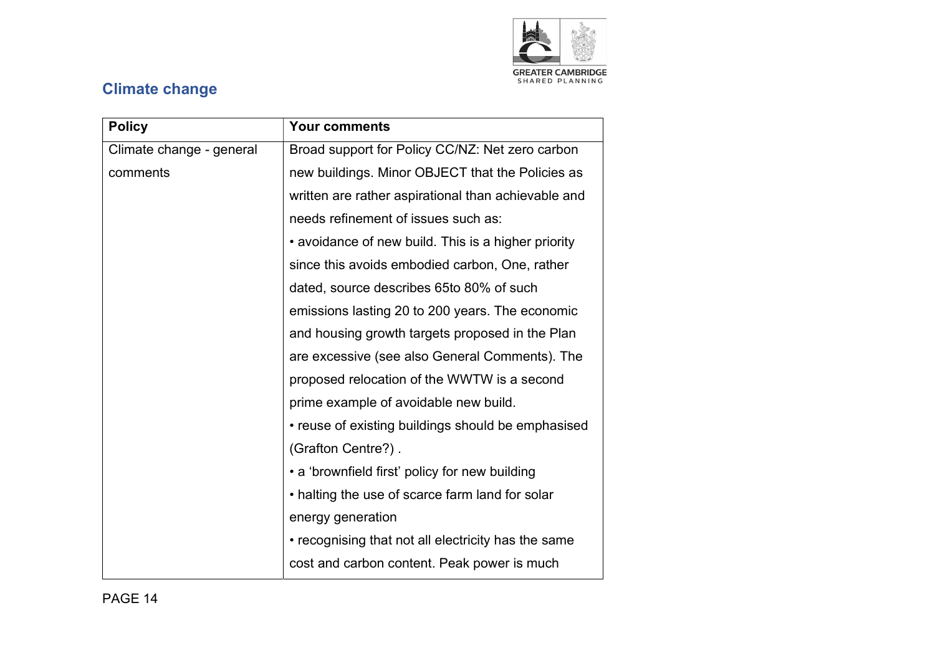

# Climate change

| <b>Policy</b>            | <b>Your comments</b>                                |
|--------------------------|-----------------------------------------------------|
| Climate change - general | Broad support for Policy CC/NZ: Net zero carbon     |
| comments                 | new buildings. Minor OBJECT that the Policies as    |
|                          | written are rather aspirational than achievable and |
|                          | needs refinement of issues such as:                 |
|                          | • avoidance of new build. This is a higher priority |
|                          | since this avoids embodied carbon, One, rather      |
|                          | dated, source describes 65to 80% of such            |
|                          | emissions lasting 20 to 200 years. The economic     |
|                          | and housing growth targets proposed in the Plan     |
|                          | are excessive (see also General Comments). The      |
|                          | proposed relocation of the WWTW is a second         |
|                          | prime example of avoidable new build.               |
|                          | • reuse of existing buildings should be emphasised  |
|                          | (Grafton Centre?).                                  |
|                          | • a 'brownfield first' policy for new building      |
|                          | • halting the use of scarce farm land for solar     |
|                          | energy generation                                   |
|                          | • recognising that not all electricity has the same |
|                          | cost and carbon content. Peak power is much         |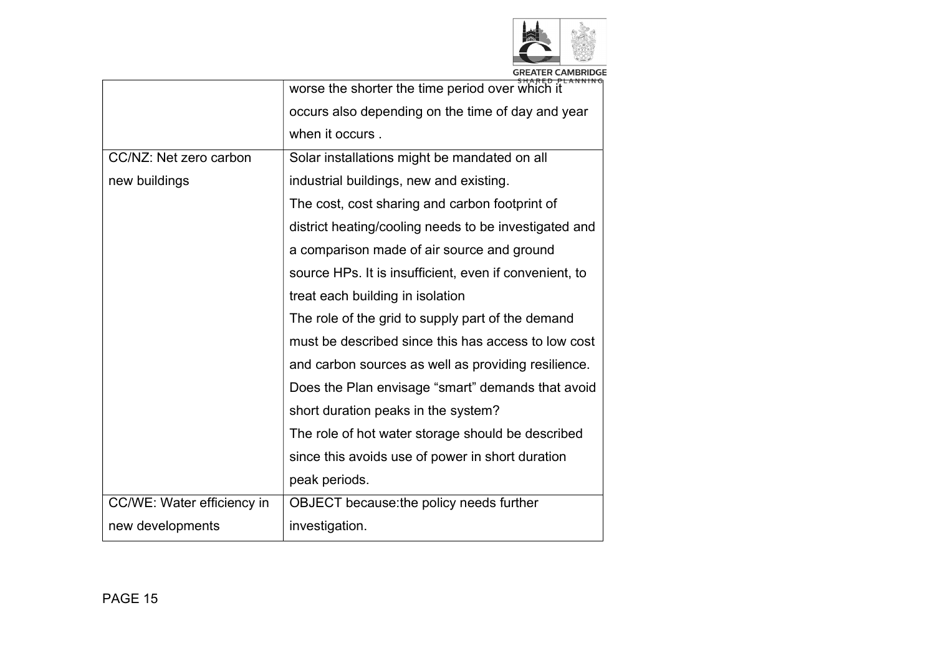

|  |  |  | <b>GREATER CAMBRIDGE</b> |  |  |  |  |
|--|--|--|--------------------------|--|--|--|--|
|  |  |  | CUADER BLANNING          |  |  |  |  |
|  |  |  | ----------------         |  |  |  |  |

|                            | worse the shorter the time period over which it        |
|----------------------------|--------------------------------------------------------|
|                            | occurs also depending on the time of day and year      |
|                            | when it occurs.                                        |
| CC/NZ: Net zero carbon     | Solar installations might be mandated on all           |
| new buildings              | industrial buildings, new and existing.                |
|                            | The cost, cost sharing and carbon footprint of         |
|                            | district heating/cooling needs to be investigated and  |
|                            | a comparison made of air source and ground             |
|                            | source HPs. It is insufficient, even if convenient, to |
|                            | treat each building in isolation                       |
|                            | The role of the grid to supply part of the demand      |
|                            | must be described since this has access to low cost    |
|                            | and carbon sources as well as providing resilience.    |
|                            | Does the Plan envisage "smart" demands that avoid      |
|                            | short duration peaks in the system?                    |
|                            | The role of hot water storage should be described      |
|                            | since this avoids use of power in short duration       |
|                            | peak periods.                                          |
| CC/WE: Water efficiency in | OBJECT because: the policy needs further               |
| new developments           | investigation.                                         |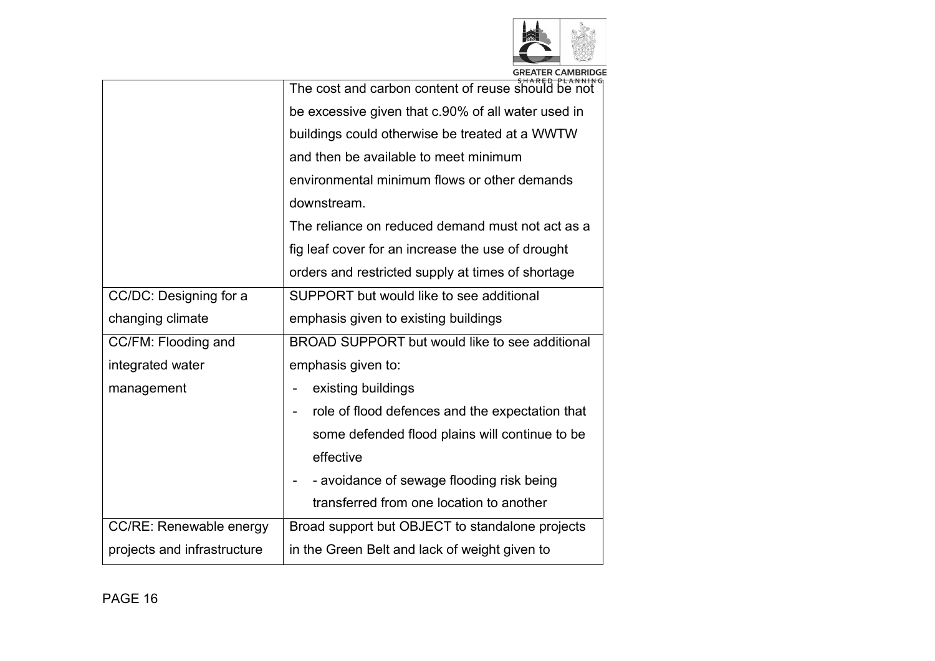

|                             | The cost and carbon content of reuse should be not |
|-----------------------------|----------------------------------------------------|
|                             | be excessive given that c.90% of all water used in |
|                             | buildings could otherwise be treated at a WWTW     |
|                             | and then be available to meet minimum              |
|                             | environmental minimum flows or other demands       |
|                             | downstream.                                        |
|                             | The reliance on reduced demand must not act as a   |
|                             | fig leaf cover for an increase the use of drought  |
|                             | orders and restricted supply at times of shortage  |
| CC/DC: Designing for a      | SUPPORT but would like to see additional           |
| changing climate            | emphasis given to existing buildings               |
| CC/FM: Flooding and         | BROAD SUPPORT but would like to see additional     |
| integrated water            | emphasis given to:                                 |
| management                  | existing buildings                                 |
|                             | role of flood defences and the expectation that    |
|                             | some defended flood plains will continue to be     |
|                             | effective                                          |
|                             | - avoidance of sewage flooding risk being          |
|                             | transferred from one location to another           |
| CC/RE: Renewable energy     | Broad support but OBJECT to standalone projects    |
| projects and infrastructure | in the Green Belt and lack of weight given to      |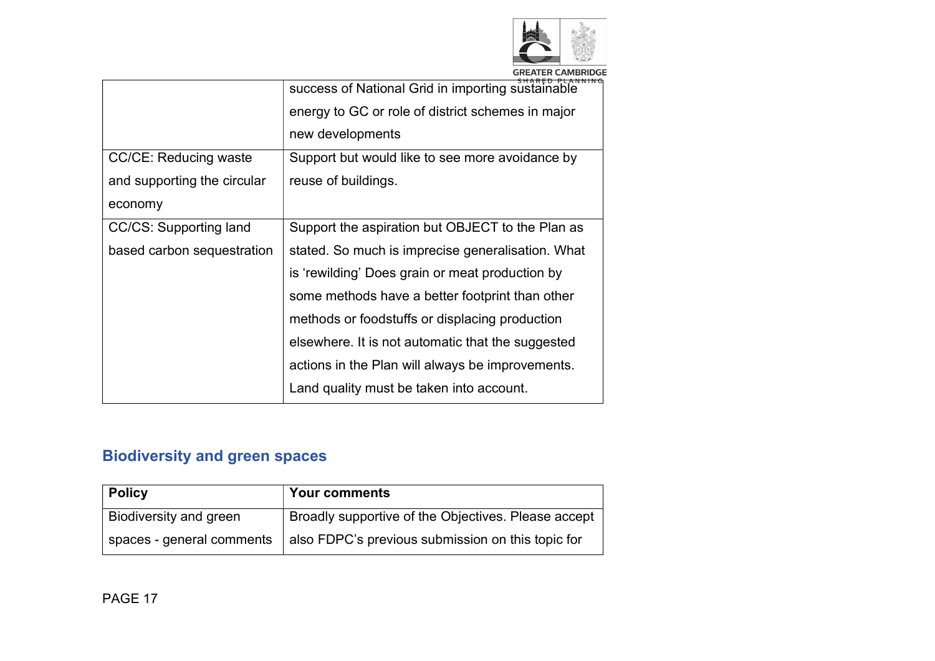

| CUADER BLANNING |  |  |  | <b>GREATER CAMBRIDGE</b> |  |  |  |  |
|-----------------|--|--|--|--------------------------|--|--|--|--|
|                 |  |  |  |                          |  |  |  |  |

|                              | success of National Grid in importing sustainable |
|------------------------------|---------------------------------------------------|
|                              | energy to GC or role of district schemes in major |
|                              | new developments                                  |
| <b>CC/CE: Reducing waste</b> | Support but would like to see more avoidance by   |
| and supporting the circular  | reuse of buildings.                               |
| economy                      |                                                   |
| CC/CS: Supporting land       | Support the aspiration but OBJECT to the Plan as  |
| based carbon sequestration   | stated. So much is imprecise generalisation. What |
|                              | is 'rewilding' Does grain or meat production by   |
|                              | some methods have a better footprint than other   |
|                              | methods or foodstuffs or displacing production    |
|                              | elsewhere. It is not automatic that the suggested |
|                              | actions in the Plan will always be improvements.  |
|                              | Land quality must be taken into account.          |
|                              |                                                   |

# Biodiversity and green spaces

| <b>Policy</b>             | <b>Your comments</b>                                |
|---------------------------|-----------------------------------------------------|
| Biodiversity and green    | Broadly supportive of the Objectives. Please accept |
| spaces - general comments | also FDPC's previous submission on this topic for   |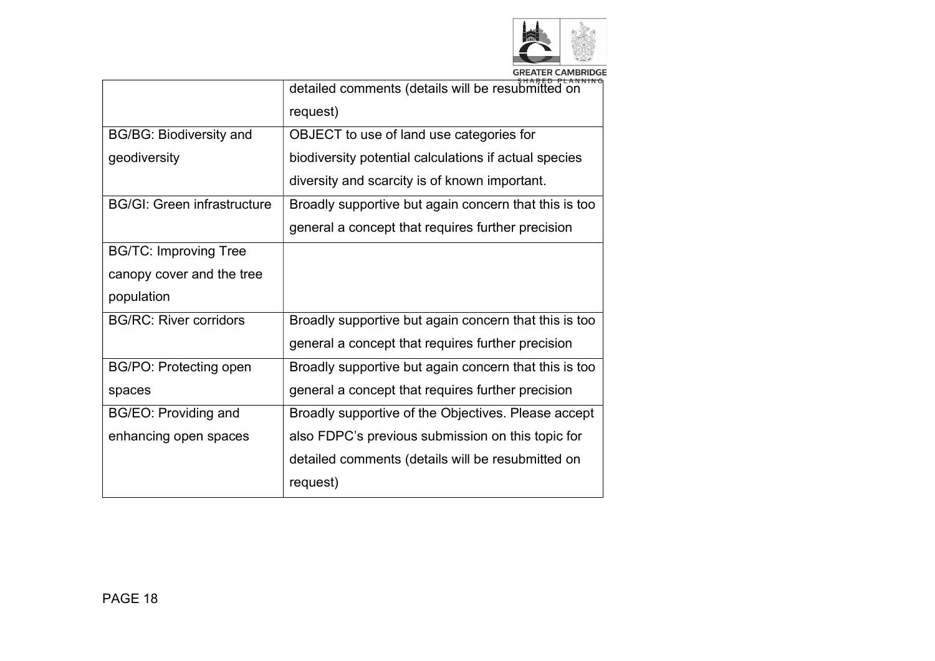

| GREATER CAMBRIDGE |
|-------------------|
|                   |

| detailed comments (details will be resubmitted on     |
|-------------------------------------------------------|
| request)                                              |
| OBJECT to use of land use categories for              |
| biodiversity potential calculations if actual species |
| diversity and scarcity is of known important.         |
| Broadly supportive but again concern that this is too |
| general a concept that requires further precision     |
|                                                       |
|                                                       |
|                                                       |
| Broadly supportive but again concern that this is too |
| general a concept that requires further precision     |
| Broadly supportive but again concern that this is too |
| general a concept that requires further precision     |
| Broadly supportive of the Objectives. Please accept   |
| also FDPC's previous submission on this topic for     |
| detailed comments (details will be resubmitted on     |
| request)                                              |
|                                                       |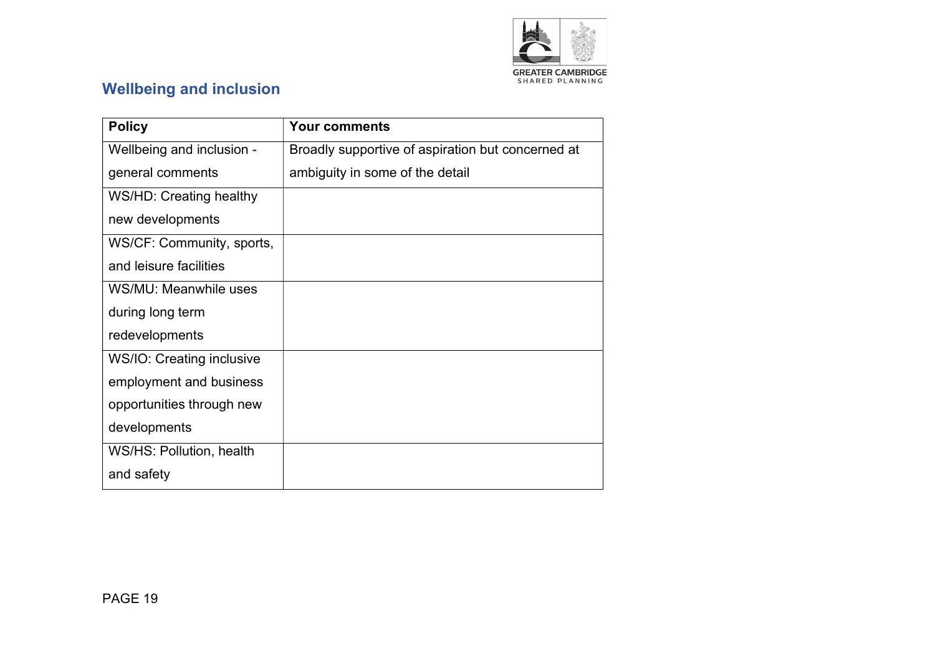

## Wellbeing and inclusion

| <b>Policy</b>             | <b>Your comments</b>                              |
|---------------------------|---------------------------------------------------|
| Wellbeing and inclusion - | Broadly supportive of aspiration but concerned at |
| general comments          | ambiguity in some of the detail                   |
| WS/HD: Creating healthy   |                                                   |
| new developments          |                                                   |
| WS/CF: Community, sports, |                                                   |
| and leisure facilities    |                                                   |
| WS/MU: Meanwhile uses     |                                                   |
| during long term          |                                                   |
| redevelopments            |                                                   |
| WS/IO: Creating inclusive |                                                   |
| employment and business   |                                                   |
| opportunities through new |                                                   |
| developments              |                                                   |
| WS/HS: Pollution, health  |                                                   |
| and safety                |                                                   |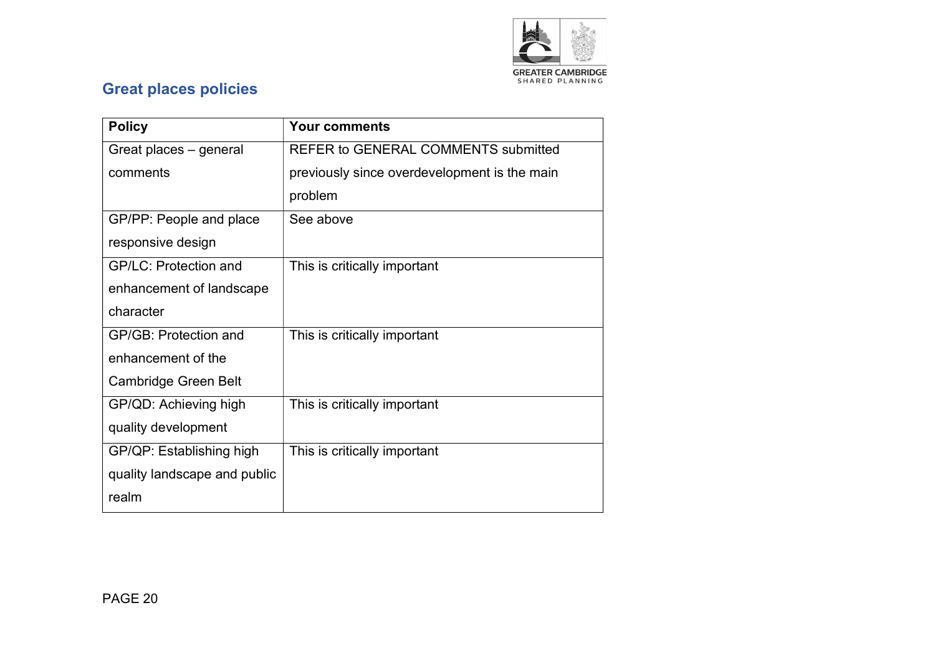

## Great places policies

| <b>Policy</b>                | <b>Your comments</b>                         |
|------------------------------|----------------------------------------------|
| Great places – general       | <b>REFER to GENERAL COMMENTS submitted</b>   |
| comments                     | previously since overdevelopment is the main |
|                              | problem                                      |
| GP/PP: People and place      | See above                                    |
| responsive design            |                                              |
| <b>GP/LC: Protection and</b> | This is critically important                 |
| enhancement of landscape     |                                              |
| character                    |                                              |
| <b>GP/GB: Protection and</b> | This is critically important                 |
| enhancement of the           |                                              |
| Cambridge Green Belt         |                                              |
| GP/QD: Achieving high        | This is critically important                 |
| quality development          |                                              |
| GP/QP: Establishing high     | This is critically important                 |
| quality landscape and public |                                              |
| realm                        |                                              |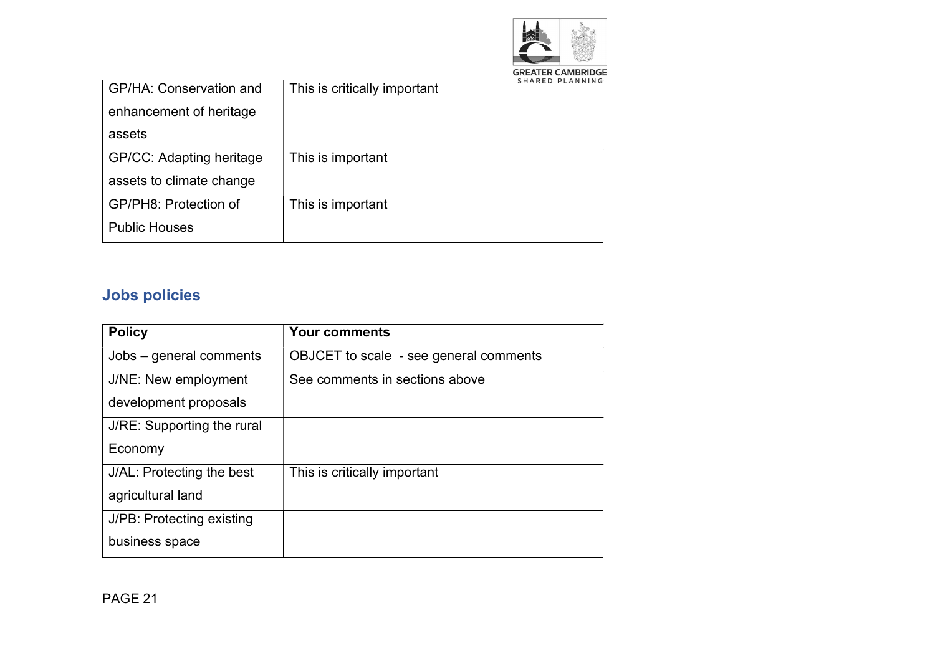

**GREATER CAMBRIDGE** 

| GP/HA: Conservation and  | This is critically important |
|--------------------------|------------------------------|
| enhancement of heritage  |                              |
| assets                   |                              |
| GP/CC: Adapting heritage | This is important            |
| assets to climate change |                              |
| GP/PH8: Protection of    | This is important            |
| <b>Public Houses</b>     |                              |

# Jobs policies

| <b>Policy</b>              | <b>Your comments</b>                   |
|----------------------------|----------------------------------------|
| Jobs – general comments    | OBJCET to scale - see general comments |
| J/NE: New employment       | See comments in sections above         |
| development proposals      |                                        |
| J/RE: Supporting the rural |                                        |
| Economy                    |                                        |
| J/AL: Protecting the best  | This is critically important           |
| agricultural land          |                                        |
| J/PB: Protecting existing  |                                        |
| business space             |                                        |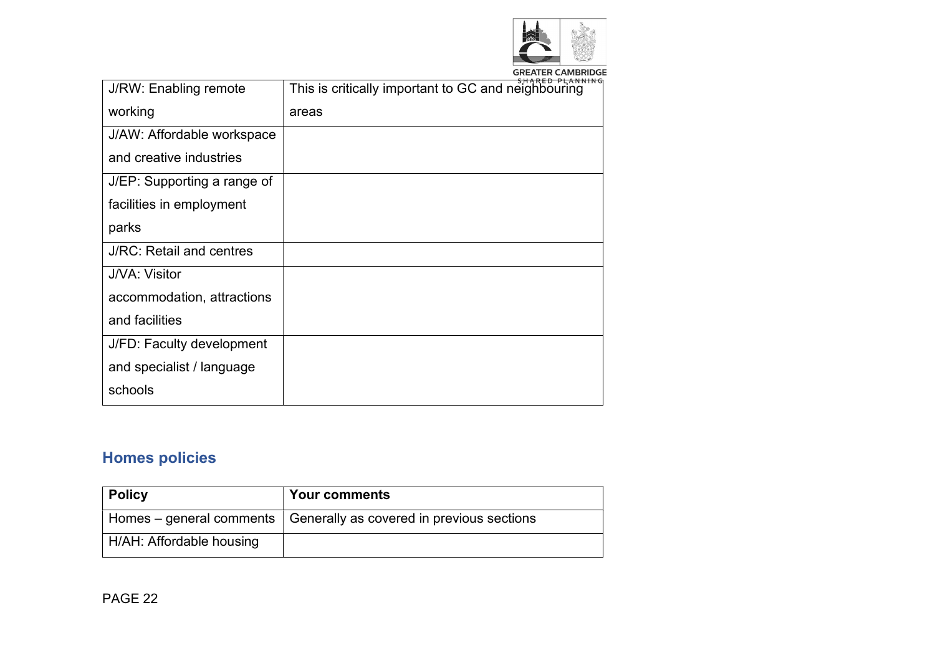

**GREATER CAMBRIDGE** 

| J/RW: Enabling remote       | This is critically important to GC and neighbouring |
|-----------------------------|-----------------------------------------------------|
| working                     | areas                                               |
| J/AW: Affordable workspace  |                                                     |
| and creative industries     |                                                     |
| J/EP: Supporting a range of |                                                     |
| facilities in employment    |                                                     |
| parks                       |                                                     |
| J/RC: Retail and centres    |                                                     |
| J/VA: Visitor               |                                                     |
| accommodation, attractions  |                                                     |
| and facilities              |                                                     |
| J/FD: Faculty development   |                                                     |
| and specialist / language   |                                                     |
| schools                     |                                                     |
|                             |                                                     |

# Homes policies

| <b>Policy</b>            | <b>Your comments</b>                                                 |
|--------------------------|----------------------------------------------------------------------|
|                          | Homes – general comments   Generally as covered in previous sections |
| H/AH: Affordable housing |                                                                      |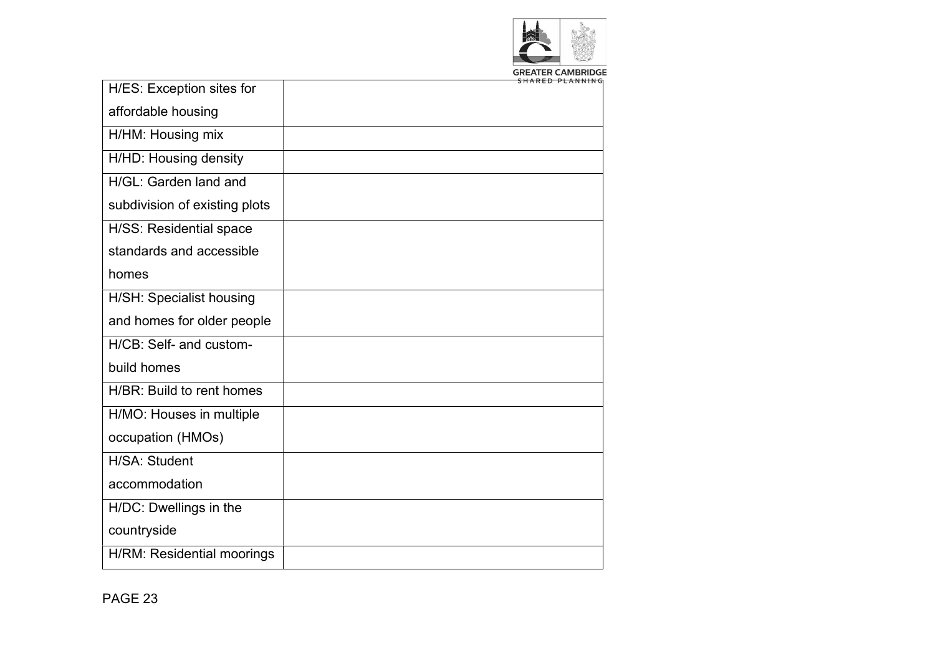

| GREATER CAMBRIDG |  |  |                   |  |  |  |  |
|------------------|--|--|-------------------|--|--|--|--|
|                  |  |  | CUADED DI AMMINIC |  |  |  |  |
|                  |  |  |                   |  |  |  |  |

| H/ES: Exception sites for     |  |
|-------------------------------|--|
| affordable housing            |  |
| H/HM: Housing mix             |  |
| H/HD: Housing density         |  |
| H/GL: Garden land and         |  |
| subdivision of existing plots |  |
| H/SS: Residential space       |  |
| standards and accessible      |  |
| homes                         |  |
| H/SH: Specialist housing      |  |
| and homes for older people    |  |
| H/CB: Self- and custom-       |  |
| build homes                   |  |
| H/BR: Build to rent homes     |  |
| H/MO: Houses in multiple      |  |
| occupation (HMOs)             |  |
| H/SA: Student                 |  |
| accommodation                 |  |
| H/DC: Dwellings in the        |  |
| countryside                   |  |
| H/RM: Residential moorings    |  |
|                               |  |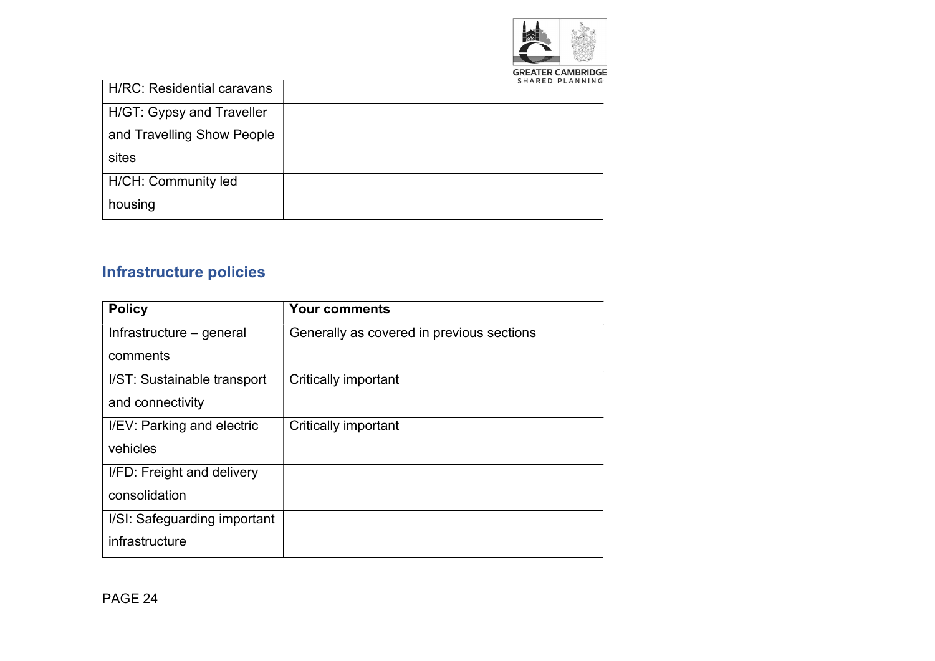

| <b>H/RC: Residential caravans</b> |  |
|-----------------------------------|--|
| H/GT: Gypsy and Traveller         |  |
| and Travelling Show People        |  |
| sites                             |  |
| H/CH: Community led               |  |
| housing                           |  |

# Infrastructure policies

| <b>Policy</b>                | <b>Your comments</b>                      |
|------------------------------|-------------------------------------------|
| Infrastructure – general     | Generally as covered in previous sections |
| comments                     |                                           |
| I/ST: Sustainable transport  | <b>Critically important</b>               |
| and connectivity             |                                           |
| I/EV: Parking and electric   | <b>Critically important</b>               |
| vehicles                     |                                           |
| I/FD: Freight and delivery   |                                           |
| consolidation                |                                           |
| I/SI: Safeguarding important |                                           |
| infrastructure               |                                           |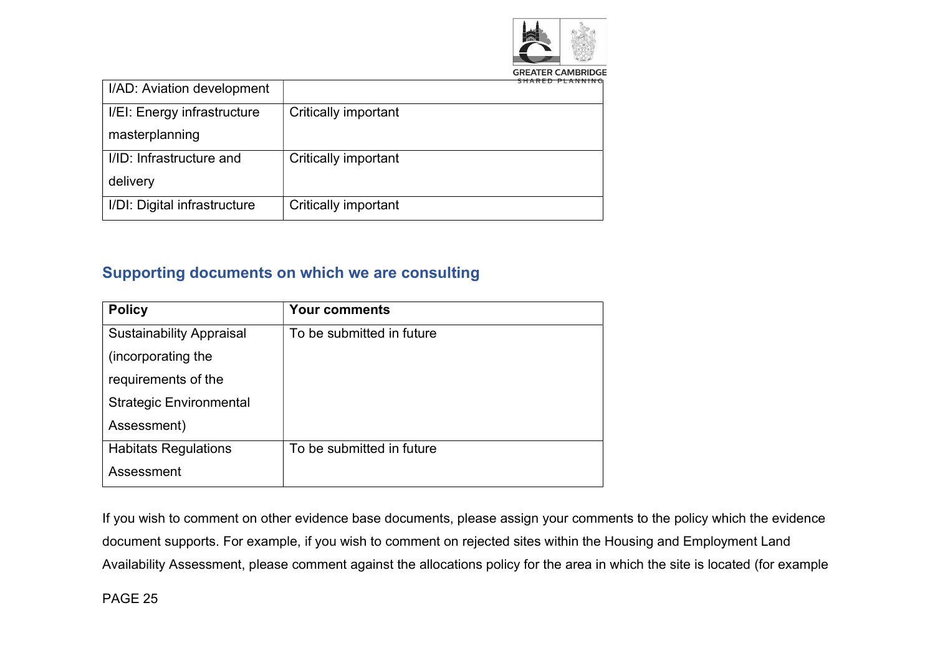

|  |  |  | <b>GREATER CAMBRIDG</b>                       |  |  |  |  |
|--|--|--|-----------------------------------------------|--|--|--|--|
|  |  |  | $CII$ $A$ $D$ $F$ $D$ $D$ $A$ $M$ $M$ $M$ $C$ |  |  |  |  |
|  |  |  |                                               |  |  |  |  |

| I/AD: Aviation development   |                             |
|------------------------------|-----------------------------|
| I/EI: Energy infrastructure  | <b>Critically important</b> |
| masterplanning               |                             |
| I/ID: Infrastructure and     | Critically important        |
| delivery                     |                             |
| I/DI: Digital infrastructure | <b>Critically important</b> |

#### Supporting documents on which we are consulting

| <b>Policy</b>                   | <b>Your comments</b>      |
|---------------------------------|---------------------------|
| <b>Sustainability Appraisal</b> | To be submitted in future |
| (incorporating the              |                           |
| requirements of the             |                           |
| <b>Strategic Environmental</b>  |                           |
| Assessment)                     |                           |
| <b>Habitats Regulations</b>     | To be submitted in future |
| Assessment                      |                           |

If you wish to comment on other evidence base documents, please assign your comments to the policy which the evidence document supports. For example, if you wish to comment on rejected sites within the Housing and Employment Land Availability Assessment, please comment against the allocations policy for the area in which the site is located (for example